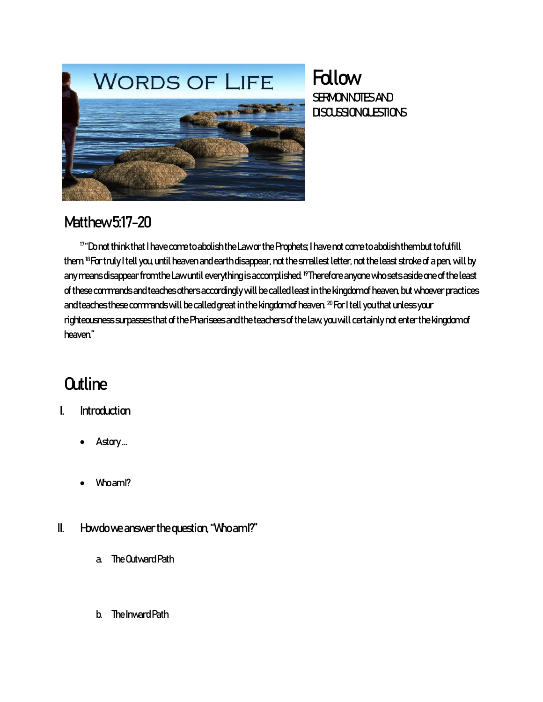

### **Follow SERMONNOTES AND** DISCUSSIONGLESTIONS

### Matthew 5:17-20

<sup>17</sup>"Do not think that I have come to abolish the Law or the Prophets; I have not come to abolish them but to fulfill them <sup>18</sup> For truly I tell you, until heaven and earth disappear, not the smallest letter, not the least stroke of a pen, will by any means disappear from the Law until everything is accomplished. <sup>19</sup>Therefore anyone who sets aside one of the least of these commands and teaches others accordingly will be called least in the kingdom of heaven, but whoever practices and teaches these commands will be called great in the kingdom of heaven.  $^{20}$  For I tell you that unless your righteousness surpasses that of the Pharisees and the teachers of the law, you will certainly not enter the kingdom of heaven."

# **Outline**

- I. Introduction
	- Astory...
	- Who am<sup>1</sup>?
- II. Howdo we answer the question, "Who am I?"
	- a. The Outward Path
	- b. The Inward Path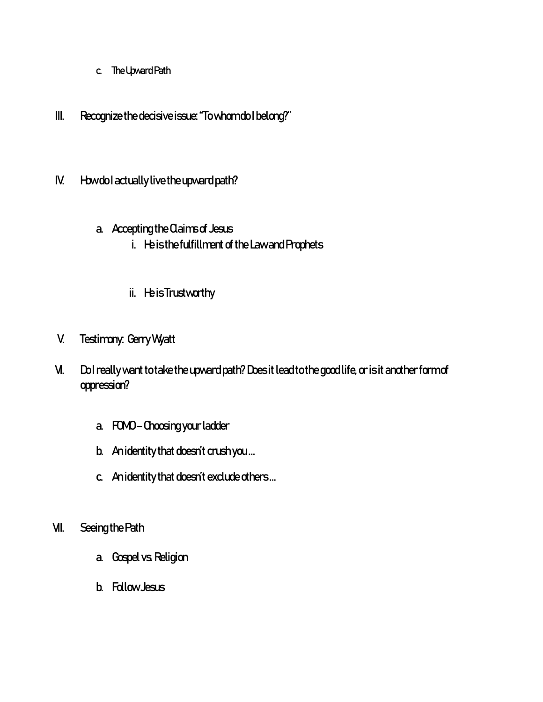- c. The Upward Path
- III. Recognize the decisive issue: "To whom do I belong?"
- IV. How do I actually live the upward path?

#### a. Accepting the Claims of Jesus

- i. He is the fulfillment of the Law and Prophets
- ii. He is Trustworthy
- V. Testimony: Gerry Wyatt
- VI. Dol really want to take the upward path? Does it lead to the good life, or is it another form of oppression?
	- a. FOMO Choosing your ladder
	- b. An identity that doesn't crush you …
	- c. An identity that doesn't exclude others …
- VII. Seeing the Path
	- a. Gospel vs. Religion
	- b. Follow Jesus